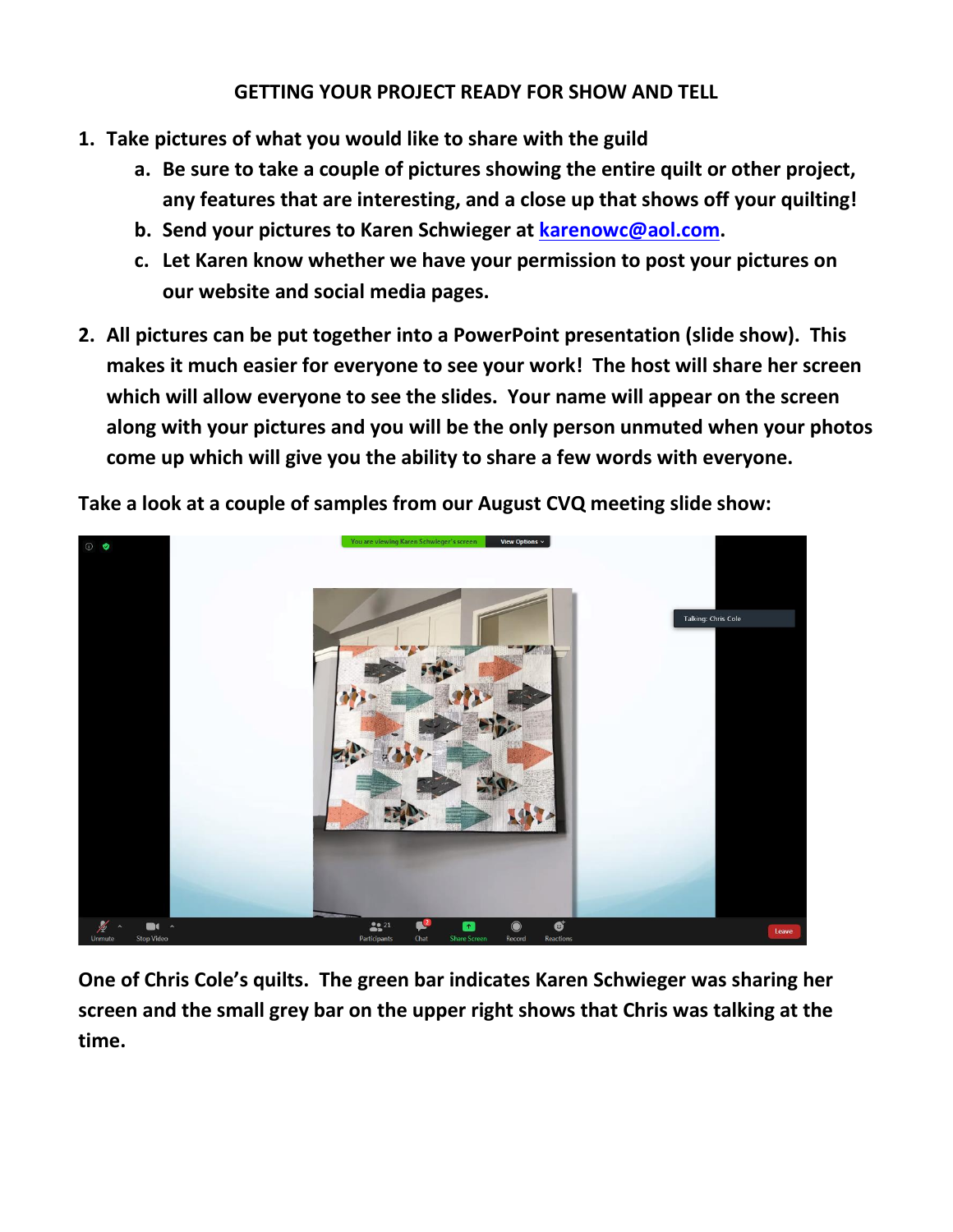## **GETTING YOUR PROJECT READY FOR SHOW AND TELL**

- **1. Take pictures of what you would like to share with the guild**
	- **a. Be sure to take a couple of pictures showing the entire quilt or other project, any features that are interesting, and a close up that shows off your quilting!**
	- **b. Send your pictures to Karen Schwieger at [karenowc@aol.com.](mailto:karenowc@aol.com)**
	- **c. Let Karen know whether we have your permission to post your pictures on our website and social media pages.**
- **2. All pictures can be put together into a PowerPoint presentation (slide show). This makes it much easier for everyone to see your work! The host will share her screen which will allow everyone to see the slides. Your name will appear on the screen along with your pictures and you will be the only person unmuted when your photos come up which will give you the ability to share a few words with everyone.**

**Take a look at a couple of samples from our August CVQ meeting slide show:**



**One of Chris Cole's quilts. The green bar indicates Karen Schwieger was sharing her screen and the small grey bar on the upper right shows that Chris was talking at the time.**